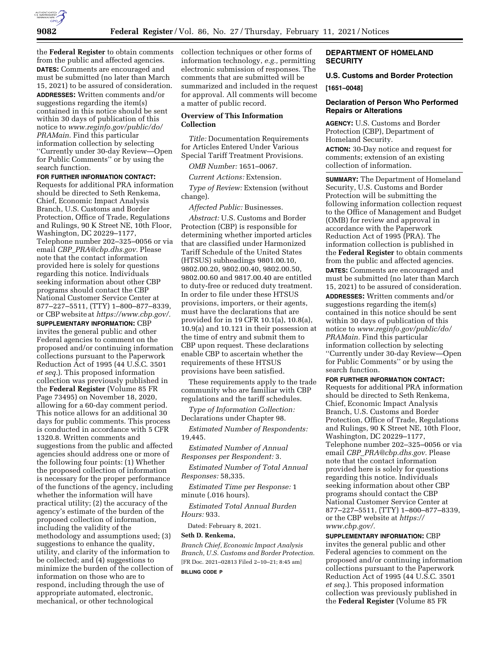

the **Federal Register** to obtain comments from the public and affected agencies. **DATES:** Comments are encouraged and must be submitted (no later than March 15, 2021) to be assured of consideration. **ADDRESSES:** Written comments and/or suggestions regarding the item(s) contained in this notice should be sent within 30 days of publication of this notice to *[www.reginfo.gov/public/do/](http://www.reginfo.gov/public/do/PRAMain) [PRAMain](http://www.reginfo.gov/public/do/PRAMain)*. Find this particular information collection by selecting ''Currently under 30-day Review—Open for Public Comments'' or by using the search function.

# **FOR FURTHER INFORMATION CONTACT:**

Requests for additional PRA information should be directed to Seth Renkema, Chief, Economic Impact Analysis Branch, U.S. Customs and Border Protection, Office of Trade, Regulations and Rulings, 90 K Street NE, 10th Floor, Washington, DC 20229–1177, Telephone number 202–325–0056 or via email *CBP*\_*[PRA@cbp.dhs.gov.](mailto:CBP_PRA@cbp.dhs.gov)* Please note that the contact information provided here is solely for questions regarding this notice. Individuals seeking information about other CBP programs should contact the CBP National Customer Service Center at 877–227–5511, (TTY) 1–800–877–8339, or CBP website at *[https://www.cbp.gov/.](https://www.cbp.gov/)* 

**SUPPLEMENTARY INFORMATION:** CBP invites the general public and other Federal agencies to comment on the proposed and/or continuing information collections pursuant to the Paperwork Reduction Act of 1995 (44 U.S.C. 3501 *et seq.*). This proposed information collection was previously published in the **Federal Register** (Volume 85 FR Page 73495) on November 18, 2020, allowing for a 60-day comment period. This notice allows for an additional 30 days for public comments. This process is conducted in accordance with 5 CFR 1320.8. Written comments and suggestions from the public and affected agencies should address one or more of the following four points: (1) Whether the proposed collection of information is necessary for the proper performance of the functions of the agency, including whether the information will have practical utility; (2) the accuracy of the agency's estimate of the burden of the proposed collection of information, including the validity of the methodology and assumptions used; (3) suggestions to enhance the quality, utility, and clarity of the information to be collected; and (4) suggestions to minimize the burden of the collection of information on those who are to respond, including through the use of appropriate automated, electronic, mechanical, or other technological

collection techniques or other forms of information technology, *e.g.,* permitting electronic submission of responses. The comments that are submitted will be summarized and included in the request for approval. All comments will become a matter of public record.

# **Overview of This Information Collection**

*Title:* Documentation Requirements for Articles Entered Under Various Special Tariff Treatment Provisions.

*OMB Number:* 1651–0067.

*Current Actions:* Extension.

*Type of Review:* Extension (without change).

*Affected Public:* Businesses.

*Abstract:* U.S. Customs and Border Protection (CBP) is responsible for determining whether imported articles that are classified under Harmonized Tariff Schedule of the United States (HTSUS) subheadings 9801.00.10, 9802.00.20, 9802.00.40, 9802.00.50, 9802.00.60 and 9817.00.40 are entitled to duty-free or reduced duty treatment. In order to file under these HTSUS provisions, importers, or their agents, must have the declarations that are provided for in 19 CFR 10.1(a), 10.8(a), 10.9(a) and 10.121 in their possession at the time of entry and submit them to CBP upon request. These declarations enable CBP to ascertain whether the requirements of these HTSUS provisions have been satisfied.

These requirements apply to the trade community who are familiar with CBP regulations and the tariff schedules.

*Type of Information Collection:*  Declarations under Chapter 98.

*Estimated Number of Respondents:*  19,445.

*Estimated Number of Annual Responses per Respondent:* 3.

*Estimated Number of Total Annual Responses:* 58,335.

*Estimated Time per Response:* 1 minute (.016 hours).

*Estimated Total Annual Burden Hours:* 933.

Dated: February 8, 2021.

### **Seth D. Renkema,**

*Branch Chief, Economic Impact Analysis Branch, U.S. Customs and Border Protection.*  [FR Doc. 2021–02813 Filed 2–10–21; 8:45 am] **BILLING CODE P** 

# **DEPARTMENT OF HOMELAND SECURITY**

# **U.S. Customs and Border Protection [1651–0048]**

# **Declaration of Person Who Performed Repairs or Alterations**

**AGENCY:** U.S. Customs and Border Protection (CBP), Department of Homeland Security. **ACTION:** 30-Day notice and request for

comments; extension of an existing collection of information.

**SUMMARY:** The Department of Homeland Security, U.S. Customs and Border Protection will be submitting the following information collection request to the Office of Management and Budget (OMB) for review and approval in accordance with the Paperwork Reduction Act of 1995 (PRA). The information collection is published in the **Federal Register** to obtain comments from the public and affected agencies. **DATES:** Comments are encouraged and must be submitted (no later than March 15, 2021) to be assured of consideration.

**ADDRESSES:** Written comments and/or suggestions regarding the item(s) contained in this notice should be sent within 30 days of publication of this notice to *[www.reginfo.gov/public/do/](http://www.reginfo.gov/public/do/PRAMain) [PRAMain.](http://www.reginfo.gov/public/do/PRAMain)* Find this particular information collection by selecting ''Currently under 30-day Review—Open for Public Comments'' or by using the search function.

### **FOR FURTHER INFORMATION CONTACT:**

Requests for additional PRA information should be directed to Seth Renkema, Chief, Economic Impact Analysis Branch, U.S. Customs and Border Protection, Office of Trade, Regulations and Rulings, 90 K Street NE, 10th Floor, Washington, DC 20229–1177, Telephone number 202–325–0056 or via email *CBP*\_*[PRA@cbp.dhs.gov.](mailto:CBP_PRA@cbp.dhs.gov)* Please note that the contact information provided here is solely for questions regarding this notice. Individuals seeking information about other CBP programs should contact the CBP National Customer Service Center at 877–227–5511, (TTY) 1–800–877–8339, or the CBP website at *[https://](https://www.cbp.gov/) [www.cbp.gov/.](https://www.cbp.gov/)* 

**SUPPLEMENTARY INFORMATION:** CBP invites the general public and other Federal agencies to comment on the proposed and/or continuing information collections pursuant to the Paperwork Reduction Act of 1995 (44 U.S.C. 3501 *et seq.*). This proposed information collection was previously published in the **Federal Register** (Volume 85 FR